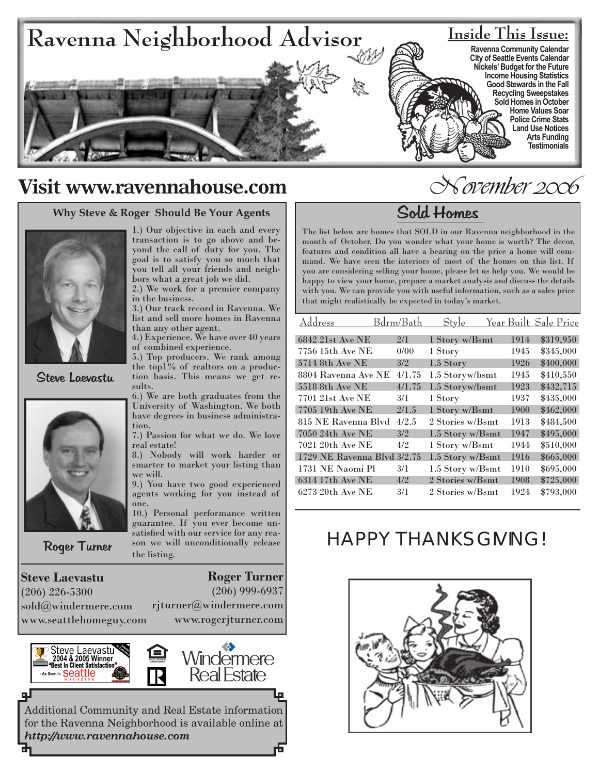

# **Visit www.ravennahouse.com**

### **Why Steve & Roger Should Be Your Agents**



Steve Laevastu



Roger Turner

**Steve Laevastu** (206) 226-5300 sold@windermere.com www.seattlehomeguy.com

뎊

1.) Our objective in each and every transaction is to go above and beyond the call of duty for you. The goal is to satisfy you so much that you tell all your friends and neighbors what a great job we did.

2.) We work for a premier company in the business.

3.) Our track record in Ravenna. We list and sell more homes in Ravenna than any other agent.

4.) Experience. We have over 40 years of combined experience.

5.) Top producers. We rank among the top1% of realtors on a production basis. This means we get results.

6.) We are both graduates from the University of Washington. We both have degrees in business administration.

7.) Passion for what we do. We love real estate!

8.) Nobody will work harder or smarter to market your listing than we will.

9.) You have two good experienced agents working for you instead of one.

10.) Personal performance written guarantee. If you ever become unsatisfied with our service for any reason we will unconditionally release the listing.

**Roger Turner**

(206) 999-6937

rjturner@windermere.com www.rogerjturner.com



Additional Community and Real Estate information for the Ravenna Neighborhood is available online at *http://www.ravennahouse.com*

# November 2006

# Sold Homes

The list below are homes that SOLD in our Ravenna neighborhood in the month of October. Do you wonder what your home is worth? The decor, features and condition all have a bearing on the price a home will command. We have seen the interiors of most of the homes on this list. If you are considering selling your home, please let us help you. We would be happy to view your home, prepare a market analysis and discuss the details with you. We can provide you with useful information, such as a sales price that might realistically be expected in today's market.

| Address                     | Bdrm/Bath | Style            |      | Year Built Sale Price |
|-----------------------------|-----------|------------------|------|-----------------------|
| 6842 21st Ave NE            | 2/1       | 1 Story w/Bsmt   | 1914 | \$319,950             |
| 7756 15th Ave NE            | 0/00      | 1 Story          | 1945 | \$345,000             |
| 5714 8th Ave NE             | 3/2       | 1.5 Story        | 1926 | \$400,000             |
| 8804 Ravenna Ave NE         | 4/1.75    | 1.5 Storyw/bsmt  | 1945 | \$410,550             |
| 5518 8th Ave NE             | 4/1.75    | 1.5 Storyw/bsmt  | 1923 | \$432,715             |
| 7701 21st Ave NE            | 3/1       | 1 Story          | 1937 | \$435,000             |
| 7705 19th Ave NE            | 2/1.5     | 1 Story w/Bsmt   | 1900 | \$462,000             |
| 815 NE Ravenna Blvd         | 4/2.5     | 2 Stories w/Bsmt | 1913 | \$484,500             |
| 7050 24th Ave NE            | 3/2       | 1.5 Story w/Bsmt | 1947 | \$495,000             |
| 7021 20th Ave NE            | 4/2       | 1 Story w/Bsmt   | 1944 | \$510,000             |
| 1729 NE Ravenna Blvd 3/2.75 |           | 1.5 Story w/Bsmt | 1916 | \$665,000             |
| 1731 NE Naomi Pl            | 3/1       | 1.5 Story w/Bsmt | 1910 | \$695,000             |
| 6314 17th Ave NE            | 4/2       | 2 Stories w/Bsmt | 1908 | \$725,000             |
| 6273 20th Ave NE            | 3/1       | 2 Stories w/Bsmt | 1924 | \$793,000             |

# HAPPY THANKSGIVING!

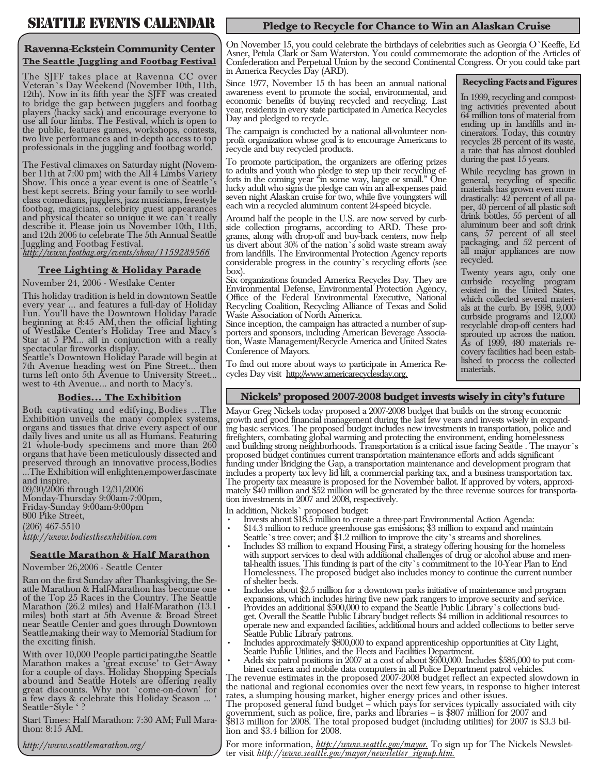## SEATTLE EVENTS CALENDAR

### **Ravenna-Eckstein Community Center The Seattle Juggling and Footbag Festival**

The SJFF takes place at Ravenna CC over Veteran's Day Weekend (November 10th, 11th, 12th). Now in its fifth year the SJFF was created to bridge the gap between jugglers and footbag players (hacky sack) and encourage everyone to use all four limbs. The Festival, which is open to the public, features games, workshops, contests, two live performances and in-depth access to top professionals in the juggling and footbag world.

The Festival climaxes on Saturday night (Novem- ber 11th at 7:00 pm) with the All 4 Limbs Variety Show. This once a year event is one of Seattle's best kept secrets. Bring your family to see worldclass comedians, jugglers, jazz musicians, freestyle footbag, magicians, celebrity guest appearances and physical theater so unique it we can't really describe it. Please join us November 10th, 11th, and 12th 2006 to celebrate The 5th Annual Seattle Juggling and Footbag Festival.

*http://www.footbag.org/events/show/1159289566*

### **Tree Lighting & Holiday Parade**

November 24, 2006 - Westlake Center

This holiday tradition is held in downtown Seattle every year ... and features a full-day of Holiday Fun. You'll have the Downtown Holiday Parade beginning at 8:45 AM, then the official lighting of Westlake Center's Holiday Tree and Macy's Star at 5 PM... all in conjunction with a really spectacular fireworks display.

Seattle's Downtown Holiday Parade will begin at 7th Avenue heading west on Pine Street... then turns left onto 5th Avenue to University Street... west to 4th Avenue... and north to Macy's.

### **Bodies... The Exhibition**

Both captivating and edifying, Bodies ...The Exhibition unveils the many complex systems, organs and tissues that drive every aspect of our daily lives and unite us all as Humans. Featuring 21 whole-body specimens and more than 260 organs that have been meticulously dissected and preserved through an innovative process, Bodies ...The Exhibition will enlighten, empower, fascinate and inspire.

09/30/2006 through 12/31/2006 Monday-Thursday 9:00am-7:00pm, Friday-Sunday 9:00am-9:00pm 800 Pike Street, (206) 467-5510 *http://www.bodiestheexhibition.com*

### **Seattle Marathon & Half Marathon**

November 26, 2006 - Seattle Center

Ran on the first Sunday after Thanksgiving, the Se- attle Marathon & Half-Marathon has become one of the Top 25 Races in the Country. The Seattle Marathon (26.2 miles) and Half-Marathon (13.1 miles) both start at 5th Avenue & Broad Street near Seattle Center and goes through Downtown Seattle, making their way to Memorial Stadium for the exciting finish.

With over 10,000 People participating, the Seattle Marathon makes a 'great excuse' to Get~Away for a couple of days. Holiday Shopping Specials abound and Seattle Hotels are offering really great discounts. Why not `come-on-down' for a few days & celebrate this Holiday Season ... ' Seattle~Style ' ?

Start Times: Half Marathon: 7:30 AM; Full Mara- thon: 8:15 AM.

*http://www.seattlemarathon.org/*

### **Pledge to Recycle for Chance to Win an Alaskan Cruise**

On November 15, you could celebrate the birthdays of celebrities such as Georgia O'Keeffe, Ed Asner, Petula Clark or Sam Waterston. You could commemorate the adoption of the Articles of Confederation and Perpetual Union by the second Continental Congress. Or you could take part in America Recycles Day (ARD).

#### **Recycling Facts and Figures**

In 1999, recycling and compost- ing activities prevented about 64 million tons of material from ending up in landfills and in- cinerators. Today, this country recycles 28 percent of its waste, a rate that has almost doubled during the past 15 years.

While recycling has grown in general, recycling of specific materials has grown even more drastically: 42 percent of all pa-<br>per, 40 percent of all plastic soft drink bottles, 55 percent of all aluminum beer and soft drink cans, 57 percent of all steel packaging, and 52 percent of all major appliances are now recycled.

Twenty years ago, only one curbside recycling program existed in the United States,<br>which collected several materials at the curb. By 1998,  $9,000$ curbside programs and 12,000 recyclable drop-off centers had sprouted up across the nation.<br>As of 1999, 480 materials recovery facilities had been estab-<br>lished to process the collected materials.

To find out more about ways to participate in America Recycles Day visit http://www.americarecyclesday.org.

Since 1977, November 15 th has been an annual national awareness event to promote the social, environmental, and economic benefits of buying recycled and recycling. Last year, residents in every state participated in America Recycles

The campaign is conducted by a national all-volunteer non- profit organization whose goal is to encourage Americans to

To promote participation, the organizers are offering prizes to adults and youth who pledge to step up their recycling ef- forts in the coming year "in some way, large or small." One lucky adult who signs the pledge can win an all-expenses paid seven night Alaskan cruise for two, while five youngsters will each win a recycled aluminum content 24-speed bicycle.

Around half the people in the U.S. are now served by curb-<br>side collection programs, according to ARD. These pro-<br>grams, along with drop-off and buy-back centers, now help us divert about 30% of the nation's solid waste stream away from landfills. The Environmental Protection Agency reports considerable progress in the country's recycling efforts (see

Six organizations founded America Recycles Day. They are Environmental Defense, Environmental Protection Agency, Office of the Federal Environmental Executive, National Recycling Coalition, Recycling Alliance of Texas and Solid Waste Association of North America.<br>Since inception, the campaign has attracted a number of supporters and sponsors, including American Beverage Association, Waste Management/Recycle America and United States

Day and pledged to recycle.

box).

Conference of Mayors.

recycle and buy recycled products.

### **Nickels' proposed 2007-2008 budget invests wisely in city's future**

Mayor Greg Nickels today proposed a 2007-2008 budget that builds on the strong economic growth and good financial management during the last few years and invests wisely in expand- ing basic services. The proposed budget includes new investments in transportation, police and firefighters, combating global warming and protecting the environment, ending homelessness and building strong neighborhoods. Transportation is a critical issue facing Seattle . The mayor's proposed budget continues current transportation maintenance efforts and adds significant funding under Bridging the Gap, a transportation maintenance and development program that includes a property tax levy lid lift, a commercial parking tax, and a business transportation tax.<br>The property tax measure is proposed for the November ballot. If approved by voters, approximately \$40 million and \$52 million will be generated by the three revenue sources for transporta-<br>tion investments in 2007 and 2008, respectively.

- In addition, Nickels` proposed budget:<br>• Invests about \$18.5 million to create a three-part Environmental Action Agenda:
- \$14.3 million to reduce greenhouse gas emissions; \$3 million to expand and maintain Seattle's tree cover; and \$1.2 million to improve the city's streams and shorelines. •
- Includes \$3 million to expand Housing First, a strategy offering housing for the homeless with support services to deal with additional challenges of drug or alcohol abuse and men-<br>tal-health issues. This funding is part of the city's commitment to the 10-Year Plan to End Homelessness. The proposed budget also includes money to continue the current number of shelter beds. •
- Includes about \$2.5 million for a downtown parks initiative of maintenance and program expansions, which includes hiring five new park rangers to improve security and service. •
- Provides an additional \$500,000 to expand the Seattle Public Library`s collections bud-<br>get. Overall the Seattle Public Library budget reflects \$4 million in additional resources to operate new and expanded facilities, additional hours and added collections to better serve Seattle Public Library patrons. •
- Includes approximately \$800,000 to expand apprenticeship opportunities at City Light, •
- Seattle Public Utilities, and the Fleets and Facilities Department. · Adds six patrol positions in 2007 at a cost of about \$600,000. Includes \$585,000 to put combined camera and mobile data computers in all Police Department patrol vehicles.<br>The revenue estimates in the proposed 2007-2008

the national and regional economies over the next few years, in response to higher interest rates, a slumping housing market, higher energy prices and other issues.

The proposed general fund budget – which pays for services typically associated with city government, such as police, fire, parks and libraries – is \$807 million for 2007 and \$813 million for 2008. The total proposed budget (including utilities) for 2007 is \$3.3 bil- lion and \$3.4 billion for 2008.

For more information, *http://www.seattle.gov/mayor*. To sign up for The Nickels Newsletter visit *http://www.seattle.gov/mayor/newsletter\_signup.htm.*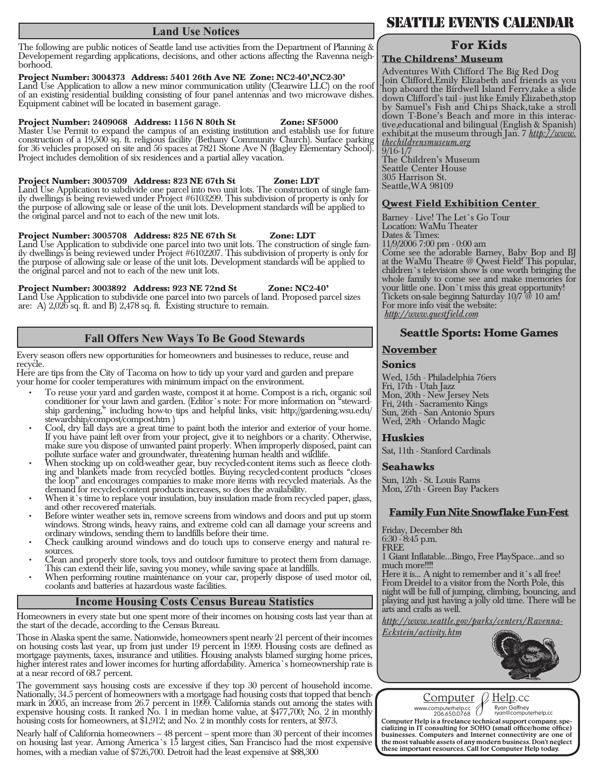### **Land Use Notices**

The following are public notices of Seattle land use activities from the Department of Planning & Developement regarding applications, decisions, and other actions affecting the Ravenna neigh- borhood.

### **Project Number: 3004373 Address: 5401 26th Ave NE Zone: NC2-40', NC2-30'**

Land Use Application to allow a new minor communication utility (Clearwire LLC) on the roof of an existing residential building consisting of four panel antennas and two microwave dishes. Equipment cabinet will be located in basement garage.

### **Project Number: 2409068 Address: 1156 N 80th St Zone: SF5000**

Master Use Permit to expand the campus of an existing institution and establish use for future construction of a 19,500 sq. ft. religious facility (Bethany Community Church). Surface parking for 36 vehicles proposed on site and 56 spaces at 7821 Stone Ave N (Bagley Elementary School). Project includes demolition of six residences and a partial alley vacation.

**Project Number: 3005709 Address: 823 NE 67th St Zone: LDT**<br>Land Use Application to subdivide one parcel into two unit lots. The construction of single family dwellings is being reviewed under Project  $#6103299$ . This subdivision of property is only for the purpose of allowing sale or lease of the unit lots. Development standards will be applied to the original parcel and not to each of the new unit lots.

Project Number: 3005708 Address: 825 NE 67th St \_\_ Zone: LDT Land Use Application to subdivide one parcel into two unit lots. The construction of single fam- ily dwellings is being reviewed under Project #6102207. This subdivision of property is only for the purpose of allowing sale or lease of the unit lots. Development standards will be applied to the original parcel and not to each of the new unit lots.

#### **Project Number: 3003892 Address: 923 NE 72nd St Zone: NC2-40'**

Land Use Application to subdivide one parcel into two parcels of land. Proposed parcel sizes are: A) 2,026 sq. ft. and B) 2,478 sq. ft. Existing structure to remain.

### **Fall Offers New Ways To Be Good Stewards**

Every season offers new opportunities for homeowners and businesses to reduce, reuse and recycle.

Here are tips from the City of Tacoma on how to tidy up your yard and garden and prepare your home for cooler temperatures with minimum impact on the environment.

- To reuse your yard and garden waste, compost it at home. Compost is a rich, organic soil conditioner for your lawn and garden. (Editor's note: For more information on <sup>8</sup>steward- ship gardening," including how-to tips and helpful links, visit: http://gardening.wsu.edu/ stewardship/compost/compost.htm ) •
- Cool, dry fall days are a great time to paint both the interior and exterior of your home. If you have paint left over from your project, give it to neighbors or a charity. Otherwise, make sure you dispose of unwanted paint properly. When improperly disposed, paint can pollute surface water and groundwater, threatening human health and wildlife. •
- When stocking up on cold-weather gear, buy recycled-content items such as fleece cloth- ing and blankets made from recycled bottles. Buying recycled-content products "closes ing and blankets made from recycled bottles. Buying recycled content products "closes the loop" and encourages companies to make more items with recycled materials. As the demand for recycled-content products increases, so does the availability. •
- When it's time to replace your insulation, buy insulation made from recycled paper, glass, and other recovered materials. •
- Before winter weather sets in, remove screens from windows and doors and put up storm windows. Strong winds, heavy rains, and extreme cold can all damage your screens and ordinary windows, sending them to landfills before their time. •
- Check caulking around windows and do touch ups to conserve energy and natural re- sources. •
- Clean and properly store tools, toys and outdoor furniture to protect them from damage. This can extend their life, saving you money, while saving space at landfills. •

When performing routine maintenance on your car, properly dispose of used motor oil, coolants and batteries at hazardous waste facilities. •

### **Income Housing Costs Census Bureau Statistics**

Homeowners in every state but one spent more of their incomes on housing costs last year than at the start of the decade, according to the Census Bureau.

Those in Alaska spent the same. Nationwide, homeowners spent nearly 21 percent of their incomes on housing costs last year, up from just under 19 percent in 1999. Housing costs are defined as mortgage payments, taxes, insurance and utilities. Housing analysts blamed surging home prices, higher interest rates and lower incomes for hurting affordability. America's homeownership rate is at a near record of 68.7 percent.

The government says housing costs are excessive if they top 30 percent of household income. Nationally, 34.5 percent of homeowners with a mortgage had housing costs that topped that bench- mark in 2005, an increase from 26.7 percent in 1999. California stands out among the states with expensive housing costs. It ranked No. 1 in median home value, at \$477,700; No. 2 in monthly housing costs for homeowners, at \$1,912; and No. 2 in monthly costs for renters, at \$973.

Nearly half of California homeowners – 48 percent – spent more than 30 percent of their incomes on housing last year. Among America's 15 largest cities, San Francisco had the most expensive homes, with a median value of \$726,700. Detroit had the least expensive at \$88,300

## SEATTLE EVENTS CALENDAR

### **For Kids**

### **The Childrens' Museum**

Adventures With Clifford The Big Red Dog Join Clifford, Emily Elizabeth and friends as you hop aboard the Birdwell Island Ferry, take a slide down Clifford's tail - just like Emily Elizabeth, stop by Samuel's Fish and Chips Shack, take a stroll down T-Bone's Beach and more in this interac- tive, educational and bilingual (English & Spanish) exhibit, at the museum through Jan. 7 *http://www. thechildrensmuseum.org*

 $\frac{9}{16-1}$ The Children's Museum Seattle Center House 305 Harrison St. Seattle, WA 98109

### **Qwest Field Exhibition Center**

Barney - Live! The Let's Go Tour Location: WaMu Theater Dates & Times: 11/9/2006 7:00 pm - 0:00 am Come see the adorable Barney, Baby Bop and BJ at the WaMu Theatre @ Qwest Field! This popular, children's television show is one worth bringing the whole family to come see and make memories for your little one. Don't miss this great opportunity! Tickets on-sale beginng Saturday 10/7 @ 10 am! For more info visit the website:

*http://www.questfield.com*

### **Seattle Sports: Home Games**

### **November**

### **Sonics**

Wed, 15th - Philadelphia 76ers Fri, 17th - Utah Jazz Mon, 20th - New Jersey Nets Fri, 24th - Sacramento Kings Sun, 26th - San Antonio Spurs Wed, 29th - Orlando Magic

### **Huskies**

Sat, 11th - Stanford Cardinals

### **Seahawks**

Sun, 12th - St. Louis Rams Mon, 27th - Green Bay Packers

### **Family Fun Nite Snowflake Fun-Fest**

Friday, December 8th  $6:30 - 8:45$  p.m. FREE 1 Giant Inflatable…Bingo, Free PlaySpace…and so much more!!!! Here it is... A night to remember and it's all free!

From Dreidel to a visitor from the North Pole, this night will be full of jumping, climbing, bouncing, and playing and just having a jolly old time. There will be arts and crafts as well.

*http://www.seattle.gov/parks/centers/Ravenna-*

*Eckstein/activity.htm*





www.computerhelp.cc <br>
206.650.0768 <br>
Computer Help is a freelance technical support company, spe-Computer Help is a freelance technical support company, spe- cializing in IT consulting for SOHO (small office/home office) businesses. Computers and Internet connectivity are one of the most valuable assets of any modern business. Don't neglect these important resources. Call for Computer Help today.